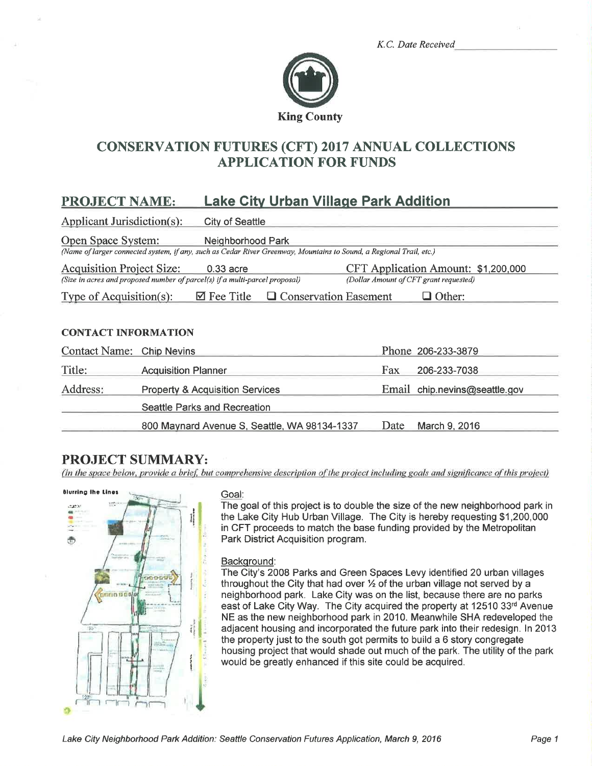|  |  | K.C. Date Received |
|--|--|--------------------|
|--|--|--------------------|



# CONSERVATTON FUTURES (CFT) 2017 ANNUAL COLLECTTONS APPLICATION FOR FUNDS

# PROJECT NAME: Lake Gitv Urban Villaqe Park Addition

Applicant Jurisdiction(s): Citv of Seattle Open Space System: Neighborhood Park (Name of larger connected system, if any, such as Cedar River Greenway, Mountains to Sound, a Regional Trail, etc.)

Acquisition Project Size: 0.33 acre CFT Application Amount: \$1,200,000<br>(Size in acres and proposed number of parcel(s) if a multi-parcel proposal) (Dollar Amount of CFT grant requested) (Size in acres and proposed number of parcel(s) if a multi-parcel proposal)

Type of Acquisition(s):  $\Box$  Fee Title  $\Box$  Conservation Easement  $\Box$  Other:

#### CONTACT INFORMATION

| Contact Name: Chip Nevins |                                              |      | Phone 206-233-3879            |
|---------------------------|----------------------------------------------|------|-------------------------------|
| Title:                    | <b>Acquisition Planner</b>                   | Fax  | 206-233-7038                  |
| Address:                  | <b>Property &amp; Acquisition Services</b>   |      | Email chip.nevins@seattle.gov |
|                           | Seattle Parks and Recreation                 |      |                               |
|                           | 800 Maynard Avenue S, Seattle, WA 98134-1337 | Date | March 9, 2016                 |

# PROJECT SUMMARY:

(In the space below, provide a brief, but comprehensive description of the project including goals and significance of this project)



The goal of this project is to double the size of the new neighborhood park in the Lake City Hub Urban Village. The City is hereby requesting \$1,200,000 in CFT proceeds to match the base funding provided by the Metropolitan Park District Acquisition program.

#### Background:

The City's 2008 Parks and Green Spaces Levy identified 20 urban villages throughout the City that had over  $\frac{1}{2}$  of the urban village not served by a neighborhood park. Lake City was on the list, because there are no parks east of Lake City Way. The City acquired the property at 12510 33rd Avenue NE as the new neighborhood park in 2010. Meanwhile SHA redeveloped the adjacent housing and incorporated the future park into their redesign. ln 2013 the property just to the south got permits to build a 6 story congregate housing project that would shade out much of the park. The utílity of the park would be greatly enhanced if this site could be acquired.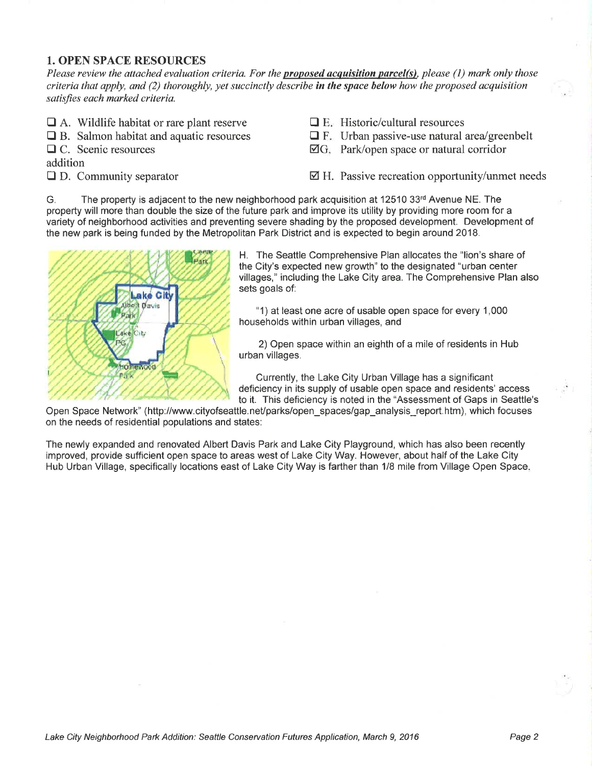### 1. OPEN SPACE RESOURCES

Please review the attached evaluation criteria. For the **proposed acquisition parcel(s)**, please (1) mark only those criteria that apply, and (2) thoroughly, yet succinctly describe in the space below how the proposed acquisition satisfies each marked criteria.

- $\Box$  A. Wildlife habitat or rare plant reserve
- $\Box$  B. Salmon habitat and aquatic resources
- $\Box$  C. Scenic resources

addition

 $\Box$  D. Community separator

- $\Box$  E. Historic/cultural resources
- $\Box$  F. Urban passive-use natural area/greenbelt
- $\overline{\mathbb{Z}}G$ . Park/open space or natural corridor

 $\boxtimes$  H. Passive recreation opportunity/unmet needs

G. The property is adjacent to the new neighborhood park acquisition at 12510 33rd Avenue NE. The property will more than double the size of the future park and improve its utility by providing more room for a variety of neighborhood activities and preventing severe shading by the proposed development. Development of the new park is being funded by the Metropolitan Park District and is expected to begin around 20'18.



H. The Seattle Comprehensive Plan allocates the "lion's share of the City's expected new growth" to the designated "urban center villages," including the Lake City area. The Comprehensive Plan also sets goals of:

"1) at least one acre of usable open space for every 1 ,000 households within urban villages, and

2) Open space within an eighth of a mile of residents in Hub urban villages.

Currently, the Lake City Urban Village has a significant deficiency in its supply of usable open space and residents' access to it. This deficiency is noted in the "Assessment of Gaps in Seattle's

Open Space Network" (http://www.cityofseattle.net/parks/open\_spaces/gap\_analysis\_report.htm), which focuses on the needs of residential populations and states:

The newly expanded and renovated Albert Davis Park and Lake City Playground, which has also been recently improved, provide sufficient open space to areas west of Lake City Way. However, about half of the Lake City Hub Urban Village, specifically locations east of Lake City Way is farther than 1/8 mile from Village Open Space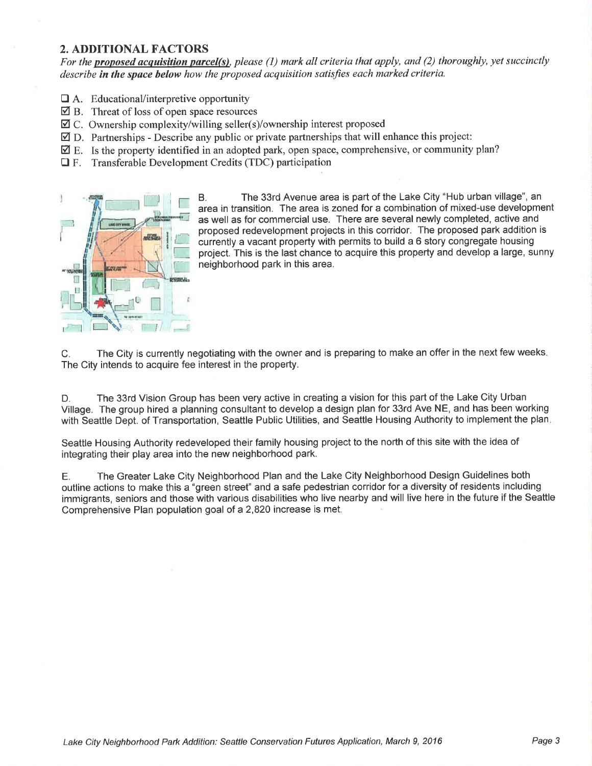#### 2. ADDITIONAL FACTORS

For the **proposed acquisition parcel(s)**, please (1) mark all criteria that apply, and (2) thoroughly, yet succinctly describe in the space below how the proposed acquisition satisfies each marked criteria.

- $\Box$  A. Educational/interpretive opportunity
- $\overline{2}$  B. Threat of loss of open space resources
- ⊠ C. Ownership complexity/willing seller(s)/ownership interest proposed
- $\boxtimes$  D. Partnerships Describe any public or private partnerships that will enhance this project:
- ⊠ E. Is the property identified in an adopted park, open space, comprehensive, or community plan?
- $\Box$  F. Transferable Development Credits (TDC) participation



B. The 33rd Avenue area is part of the Lake City "Hub urban village", an area in transition. The area is zoned for a combination of mixed-use development as well as for commercial use. There are several newly completed, active and proposed redevelopment projects in this corridor. The proposed park addition is currently a vacant property with permits to build a 6 story congregate housing project. This is the last chance to acquire this property and develop a large, sunny neighborhood park in this area.

C. The City is currently negotiating with the owner and is preparing to make an offer in the next few weeks The City intends to acquire fee interest in the propefty.

D. The 33rd Vision Group has been very active in creating a vision for this part of the Lake City Urban Village. The group hired a planning consultant to develop a design plan for 33rd Ave NE, and has been working with Seattle Dept. of Transportation, Seattle Public Utilities, and Seattle Housing Authority to implement the plan.

Seattle Housing Authority redeveloped their family housing project to the north of this site with the idea of integrating their play area into the new neighborhood park.

E. The Greater Lake City Neighborhood Plan and the Lake City Neighborhood Design Guidelines both outline actions to make this a "green street" and a safe pedestrian corridor for a diversity of residents including immigrants, seniors and those with various disabilities who live nearby and will live here in the future if the Seattle Comprehensive Plan population goal of a 2,82O increase is met.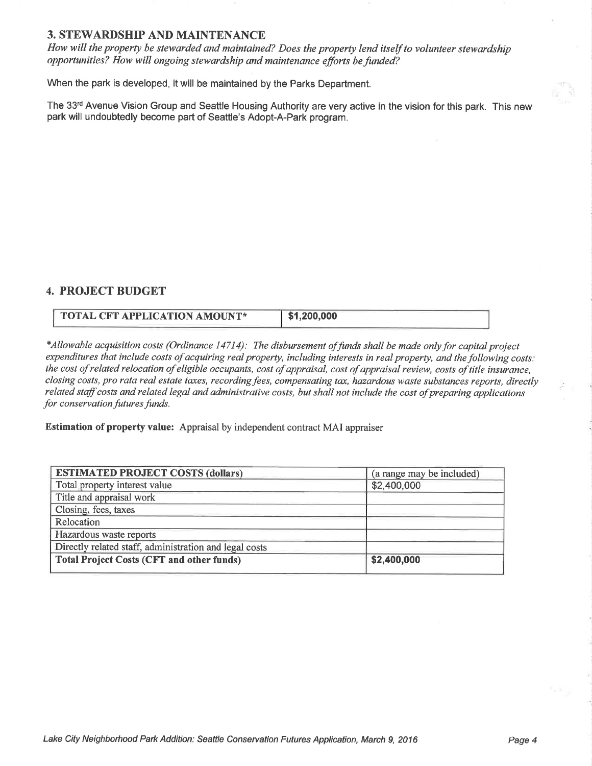#### 3. STEWARDSHIP AND MAINTENANCE

How will the property be stewarded qnd maintained? Does the property lend itself to volunteer stewardship opportunities? How will ongoing stewardship and maintenance efforts be funded?

When the park is developed, it will be maintained by the Parks Department.

The 33rd Avenue Vision Group and Seattle Housing Authority are very active in the vision for this park. This new park will undoubtedly become part of Seattle's Adopt-A-Park program.

#### 4. PROJECT BUDGET

| <b>TOTAL CFT APPLICATION AMOUNT*</b> | \$1,200,000 |
|--------------------------------------|-------------|
|--------------------------------------|-------------|

\*Allowable acquisition costs (Ordinance 14714): The disbursement of funds shall be made only for capital project expenditures that include costs of acquiring real property, including interests in real property, and the following costs; the cost of related relocation of eligible occupants, cost of appraisal, cost of appraisal review, costs of title insurance, closing costs, pro rata real estate taxes, recording fees, compensating tax, hazardous waste substances reports, directly related staff costs and related legal and administrative costs, but shall not include the cost of preparing applications for conservation futures funds.

Estimation of property value: Appraisal by independent contract MAI appraiser

| <b>ESTIMATED PROJECT COSTS (dollars)</b>               | (a range may be included) |
|--------------------------------------------------------|---------------------------|
| Total property interest value                          | \$2,400,000               |
| Title and appraisal work                               |                           |
| Closing, fees, taxes                                   |                           |
| Relocation                                             |                           |
| Hazardous waste reports                                |                           |
| Directly related staff, administration and legal costs |                           |
| <b>Total Project Costs (CFT and other funds)</b>       | \$2,400,000               |
|                                                        |                           |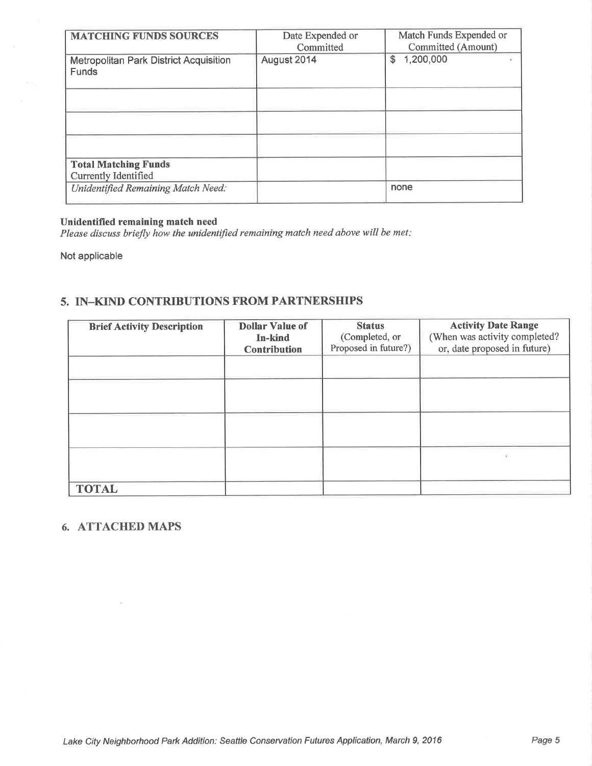| <b>MATCHING FUNDS SOURCES</b>                                 | Date Expended or<br>Committed | Match Funds Expended or<br>Committed (Amount) |
|---------------------------------------------------------------|-------------------------------|-----------------------------------------------|
| <b>Metropolitan Park District Acquisition</b><br><b>Funds</b> | August 2014                   | 1,200,000<br>$\mathfrak{s}$                   |
|                                                               |                               |                                               |
|                                                               |                               |                                               |
|                                                               |                               |                                               |
| <b>Total Matching Funds</b><br>Currently Identified           |                               |                                               |
| Unidentified Remaining Match Need:                            |                               | none                                          |

## Unidentified remaining match need

Please discuss briefly how the unidentified remaining match need above will be met:

Not applicable

## 5. IN-KIND CONTRIBUTIONS FROM PARTNERSHIPS

| <b>Brief Activity Description</b> | <b>Dollar Value of</b><br>In-kind<br><b>Contribution</b> | <b>Status</b><br>(Completed, or<br>Proposed in future?) | <b>Activity Date Range</b><br>(When was activity completed?<br>or, date proposed in future) |
|-----------------------------------|----------------------------------------------------------|---------------------------------------------------------|---------------------------------------------------------------------------------------------|
|                                   |                                                          |                                                         |                                                                                             |
|                                   |                                                          |                                                         |                                                                                             |
|                                   |                                                          |                                                         |                                                                                             |
|                                   |                                                          |                                                         |                                                                                             |
| <b>TOTAL</b>                      |                                                          |                                                         |                                                                                             |

## 6. ATTACHED MAPS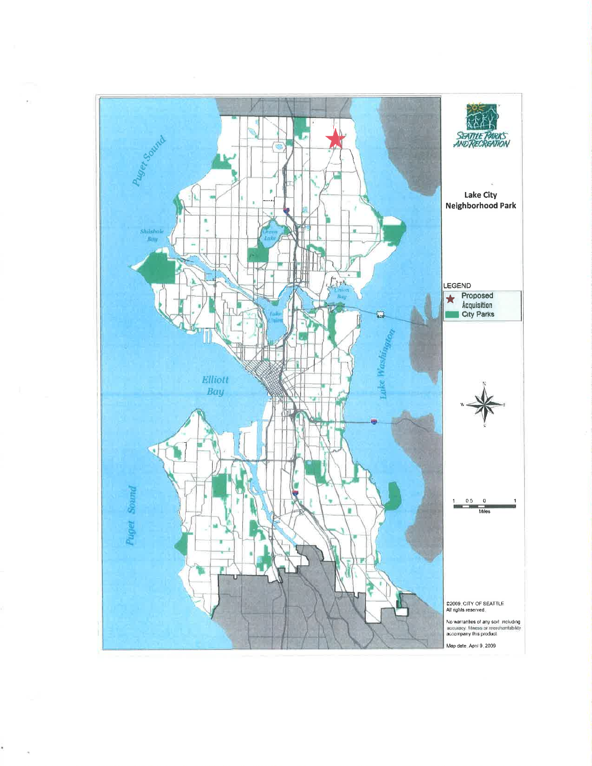

ŧ

 $\lambda$